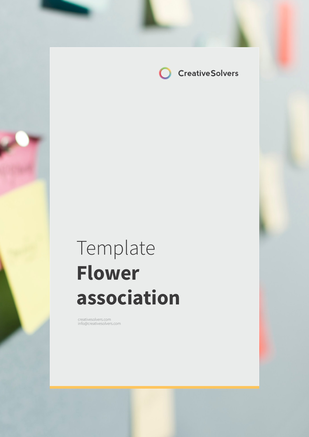

# Template **Flower association**

creativesolvers.com info@creativesolvers.com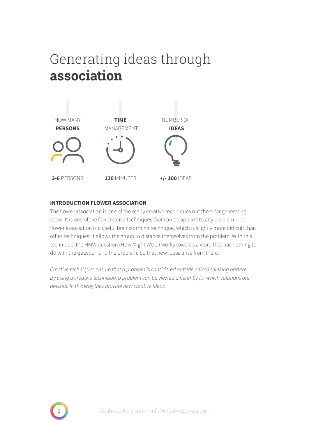# Generating ideas through **association**



### **INTRODUCTION FLOWER ASSOCIATION**

The flower association is one of the many creative techniques out there for generating ideas. It is one of the few creative techniques that can be applied to any problem. The flower association is a useful brainstorming technique, which is slightly more difficult than other techniques. It allows the group to distance themselves from the problem. With this technique, the HMW question (How Might We ...) works towards a word that has nothing to do with the question and the problem. So that new ideas arise from there.

Creative techniques ensure that a problem is considered outside a fixed thinking pattern. By using a creative technique, a problem can be viewed differently for which solutions are devised. In this way they provide new creative ideas.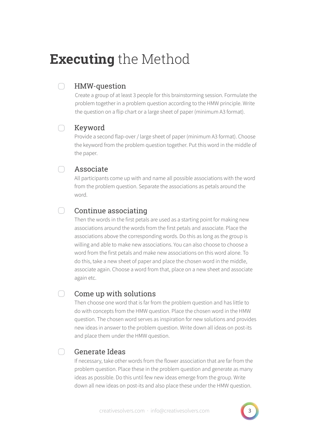# **Executing** the Method

### ∩ HMW-question

Create a group of at least 3 people for this brainstorming session. Formulate the problem together in a problem question according to the HMW principle. Write the question on a flip chart or a large sheet of paper (minimum A3 format).

#### $\bigcap$ Keyword

Provide a second flap-over / large sheet of paper (minimum A3 format). Choose the keyword from the problem question together. Put this word in the middle of the paper.

## Associate

All participants come up with and name all possible associations with the word from the problem question. Separate the associations as petals around the word.

## Continue associating

Then the words in the first petals are used as a starting point for making new associations around the words from the first petals and associate. Place the associations above the corresponding words. Do this as long as the group is willing and able to make new associations. You can also choose to choose a word from the first petals and make new associations on this word alone. To do this, take a new sheet of paper and place the chosen word in the middle, associate again. Choose a word from that, place on a new sheet and associate again etc.

#### $\bigcap$ Come up with solutions

Then choose one word that is far from the problem question and has little to do with concepts from the HMW question. Place the chosen word in the HMW question. The chosen word serves as inspiration for new solutions and provides new ideas in answer to the problem question. Write down all ideas on post-its and place them under the HMW question.

#### ∩ Generate Ideas

If necessary, take other words from the flower association that are far from the problem question. Place these in the problem question and generate as many ideas as possible. Do this until few new ideas emerge from the group. Write down all new ideas on post-its and also place these under the HMW question.